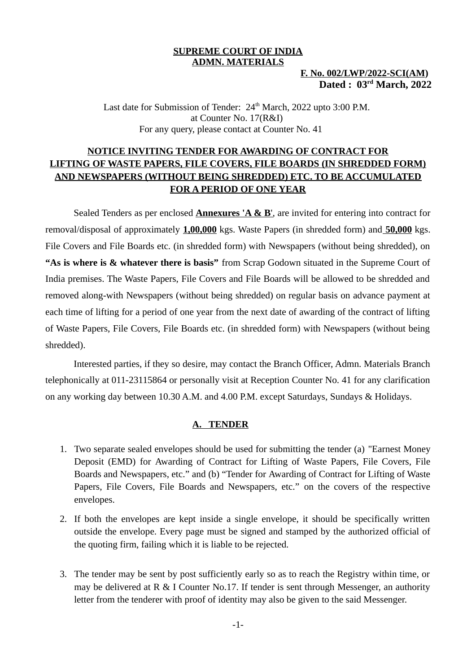### **SUPREME COURT OF INDIA ADMN. MATERIALS**

# **F. No. 002/LWP/2022-SCI(AM) Dated : 03 rd March, 2022**

Last date for Submission of Tender: 24<sup>th</sup> March, 2022 upto 3:00 P.M. at Counter No. 17(R&I) For any query, please contact at Counter No. 41

# **NOTICE INVITING TENDER FOR AWARDING OF CONTRACT FOR LIFTING OF WASTE PAPERS, FILE COVERS, FILE BOARDS (IN SHREDDED FORM) AND NEWSPAPERS (WITHOUT BEING SHREDDED) ETC. TO BE ACCUMULATED FOR A PERIOD OF ONE YEAR**

Sealed Tenders as per enclosed **Annexures 'A & B'**, are invited for entering into contract for removal/disposal of approximately **1,00,000** kgs. Waste Papers (in shredded form) and **50,000** kgs. File Covers and File Boards etc. (in shredded form) with Newspapers (without being shredded), on **"As is where is & whatever there is basis"** from Scrap Godown situated in the Supreme Court of India premises. The Waste Papers, File Covers and File Boards will be allowed to be shredded and removed along-with Newspapers (without being shredded) on regular basis on advance payment at each time of lifting for a period of one year from the next date of awarding of the contract of lifting of Waste Papers, File Covers, File Boards etc. (in shredded form) with Newspapers (without being shredded).

Interested parties, if they so desire, may contact the Branch Officer, Admn. Materials Branch telephonically at 011-23115864 or personally visit at Reception Counter No. 41 for any clarification on any working day between 10.30 A.M. and 4.00 P.M. except Saturdays, Sundays & Holidays.

### **A. TENDER**

- 1. Two separate sealed envelopes should be used for submitting the tender (a) "Earnest Money Deposit (EMD) for Awarding of Contract for Lifting of Waste Papers, File Covers, File Boards and Newspapers, etc." and (b) "Tender for Awarding of Contract for Lifting of Waste Papers, File Covers, File Boards and Newspapers, etc." on the covers of the respective envelopes.
- 2. If both the envelopes are kept inside a single envelope, it should be specifically written outside the envelope. Every page must be signed and stamped by the authorized official of the quoting firm, failing which it is liable to be rejected.
- 3. The tender may be sent by post sufficiently early so as to reach the Registry within time, or may be delivered at  $R \& I$  Counter No.17. If tender is sent through Messenger, an authority letter from the tenderer with proof of identity may also be given to the said Messenger.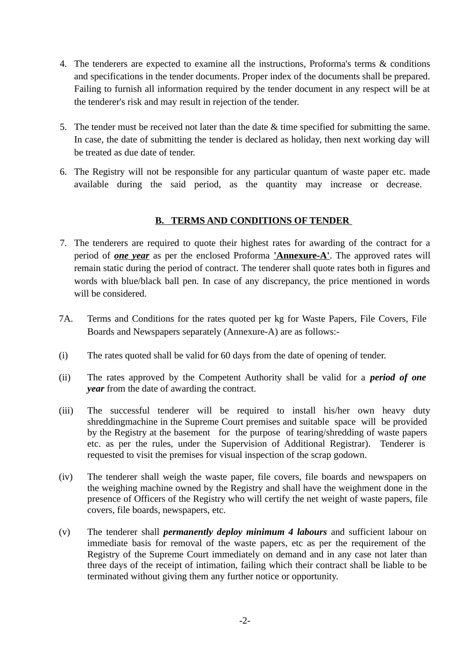- 4. The tenderers are expected to examine all the instructions, Proforma's terms & conditions and specifications in the tender documents. Proper index of the documents shall be prepared. Failing to furnish all information required by the tender document in any respect will be at the tenderer's risk and may result in rejection of the tender.
- 5. The tender must be received not later than the date & time specified for submitting the same. In case, the date of submitting the tender is declared as holiday, then next working day will be treated as due date of tender.
- 6. The Registry will not be responsible for any particular quantum of waste paper etc. made available during the said period, as the quantity may increase or decrease.

# **B. TERMS AND CONDITIONS OF TENDER**

- 7. The tenderers are required to quote their highest rates for awarding of the contract for a period of *one year* as per the enclosed Proforma **'Annexure-A'**. The approved rates will remain static during the period of contract. The tenderer shall quote rates both in figures and words with blue/black ball pen. In case of any discrepancy, the price mentioned in words will be considered.
- 7A. Terms and Conditions for the rates quoted per kg for Waste Papers, File Covers, File Boards and Newspapers separately (Annexure-A) are as follows:-
- (i) The rates quoted shall be valid for 60 days from the date of opening of tender.
- (ii) The rates approved by the Competent Authority shall be valid for a *period of one year* from the date of awarding the contract.
- (iii) The successful tenderer will be required to install his/her own heavy duty shreddingmachine in the Supreme Court premises and suitable space will be provided by the Registry at the basement for the purpose of tearing/shredding of waste papers etc. as per the rules, under the Supervision of Additional Registrar). Tenderer is requested to visit the premises for visual inspection of the scrap godown.
- (iv) The tenderer shall weigh the waste paper, file covers, file boards and newspapers on the weighing machine owned by the Registry and shall have the weighment done in the presence of Officers of the Registry who will certify the net weight of waste papers, file covers, file boards, newspapers, etc.
- (v) The tenderer shall *permanently deploy minimum 4 labours* and sufficient labour on immediate basis for removal of the waste papers, etc as per the requirement of the Registry of the Supreme Court immediately on demand and in any case not later than three days of the receipt of intimation, failing which their contract shall be liable to be terminated without giving them any further notice or opportunity.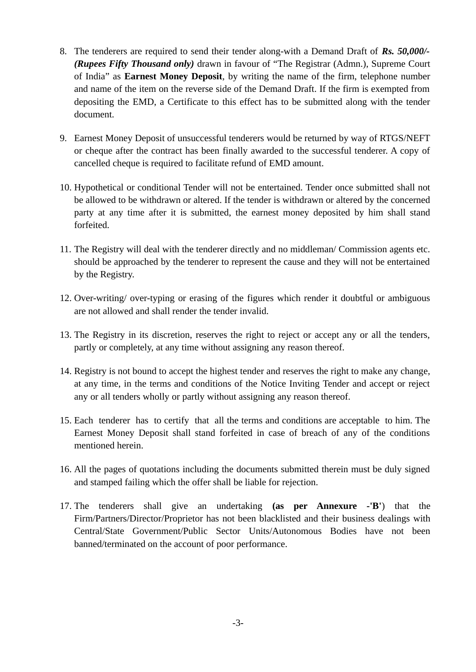- 8. The tenderers are required to send their tender along-with a Demand Draft of *Rs. 50,000/- (Rupees Fifty Thousand only)* drawn in favour of "The Registrar (Admn.), Supreme Court of India" as **Earnest Money Deposit**, by writing the name of the firm, telephone number and name of the item on the reverse side of the Demand Draft. If the firm is exempted from depositing the EMD, a Certificate to this effect has to be submitted along with the tender document.
- 9. Earnest Money Deposit of unsuccessful tenderers would be returned by way of RTGS/NEFT or cheque after the contract has been finally awarded to the successful tenderer. A copy of cancelled cheque is required to facilitate refund of EMD amount.
- 10. Hypothetical or conditional Tender will not be entertained. Tender once submitted shall not be allowed to be withdrawn or altered. If the tender is withdrawn or altered by the concerned party at any time after it is submitted, the earnest money deposited by him shall stand forfeited.
- 11. The Registry will deal with the tenderer directly and no middleman/ Commission agents etc. should be approached by the tenderer to represent the cause and they will not be entertained by the Registry.
- 12. Over-writing/ over-typing or erasing of the figures which render it doubtful or ambiguous are not allowed and shall render the tender invalid.
- 13. The Registry in its discretion, reserves the right to reject or accept any or all the tenders, partly or completely, at any time without assigning any reason thereof.
- 14. Registry is not bound to accept the highest tender and reserves the right to make any change, at any time, in the terms and conditions of the Notice Inviting Tender and accept or reject any or all tenders wholly or partly without assigning any reason thereof.
- 15. Each tenderer has to certify that all the terms and conditions are acceptable to him. The Earnest Money Deposit shall stand forfeited in case of breach of any of the conditions mentioned herein.
- 16. All the pages of quotations including the documents submitted therein must be duly signed and stamped failing which the offer shall be liable for rejection.
- 17. The tenderers shall give an undertaking **(as per Annexure -'B'**) that the Firm/Partners/Director/Proprietor has not been blacklisted and their business dealings with Central/State Government/Public Sector Units/Autonomous Bodies have not been banned/terminated on the account of poor performance.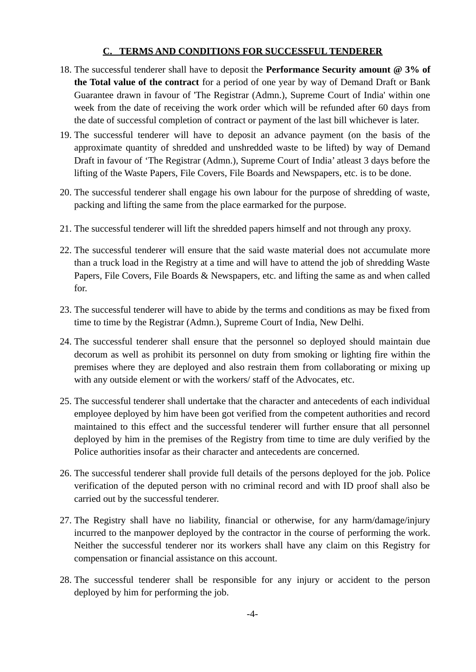# **C. TERMS AND CONDITIONS FOR SUCCESSFUL TENDERER**

- 18. The successful tenderer shall have to deposit the **Performance Security amount @ 3% of the Total value of the contract** for a period of one year by way of Demand Draft or Bank Guarantee drawn in favour of 'The Registrar (Admn.), Supreme Court of India' within one week from the date of receiving the work order which will be refunded after 60 days from the date of successful completion of contract or payment of the last bill whichever is later.
- 19. The successful tenderer will have to deposit an advance payment (on the basis of the approximate quantity of shredded and unshredded waste to be lifted) by way of Demand Draft in favour of 'The Registrar (Admn.), Supreme Court of India' atleast 3 days before the lifting of the Waste Papers, File Covers, File Boards and Newspapers, etc. is to be done.
- 20. The successful tenderer shall engage his own labour for the purpose of shredding of waste, packing and lifting the same from the place earmarked for the purpose.
- 21. The successful tenderer will lift the shredded papers himself and not through any proxy.
- 22. The successful tenderer will ensure that the said waste material does not accumulate more than a truck load in the Registry at a time and will have to attend the job of shredding Waste Papers, File Covers, File Boards & Newspapers, etc. and lifting the same as and when called for.
- 23. The successful tenderer will have to abide by the terms and conditions as may be fixed from time to time by the Registrar (Admn.), Supreme Court of India, New Delhi.
- 24. The successful tenderer shall ensure that the personnel so deployed should maintain due decorum as well as prohibit its personnel on duty from smoking or lighting fire within the premises where they are deployed and also restrain them from collaborating or mixing up with any outside element or with the workers/ staff of the Advocates, etc.
- 25. The successful tenderer shall undertake that the character and antecedents of each individual employee deployed by him have been got verified from the competent authorities and record maintained to this effect and the successful tenderer will further ensure that all personnel deployed by him in the premises of the Registry from time to time are duly verified by the Police authorities insofar as their character and antecedents are concerned.
- 26. The successful tenderer shall provide full details of the persons deployed for the job. Police verification of the deputed person with no criminal record and with ID proof shall also be carried out by the successful tenderer.
- 27. The Registry shall have no liability, financial or otherwise, for any harm/damage/injury incurred to the manpower deployed by the contractor in the course of performing the work. Neither the successful tenderer nor its workers shall have any claim on this Registry for compensation or financial assistance on this account.
- 28. The successful tenderer shall be responsible for any injury or accident to the person deployed by him for performing the job.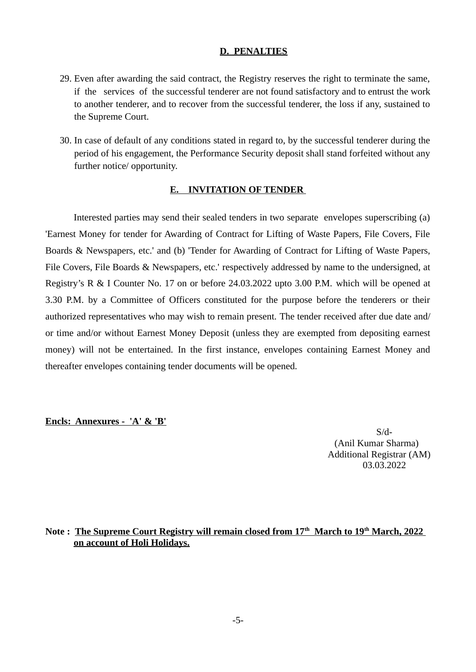### **D. PENALTIES**

- 29. Even after awarding the said contract, the Registry reserves the right to terminate the same, if the services of the successful tenderer are not found satisfactory and to entrust the work to another tenderer, and to recover from the successful tenderer, the loss if any, sustained to the Supreme Court.
- 30. In case of default of any conditions stated in regard to, by the successful tenderer during the period of his engagement, the Performance Security deposit shall stand forfeited without any further notice/ opportunity.

#### **E. INVITATION OF TENDER**

Interested parties may send their sealed tenders in two separate envelopes superscribing (a) 'Earnest Money for tender for Awarding of Contract for Lifting of Waste Papers, File Covers, File Boards & Newspapers, etc.' and (b) 'Tender for Awarding of Contract for Lifting of Waste Papers, File Covers, File Boards & Newspapers, etc.' respectively addressed by name to the undersigned, at Registry's R & I Counter No. 17 on or before 24.03.2022 upto 3.00 P.M. which will be opened at 3.30 P.M. by a Committee of Officers constituted for the purpose before the tenderers or their authorized representatives who may wish to remain present. The tender received after due date and/ or time and/or without Earnest Money Deposit (unless they are exempted from depositing earnest money) will not be entertained. In the first instance, envelopes containing Earnest Money and thereafter envelopes containing tender documents will be opened.

#### **Encls: Annexures - 'A' & 'B'**

S/d- (Anil Kumar Sharma) Additional Registrar (AM) 03.03.2022

### **Note : The Supreme Court Registry will remain closed from 17th March to 19th March, 2022 on account of Holi Holidays.**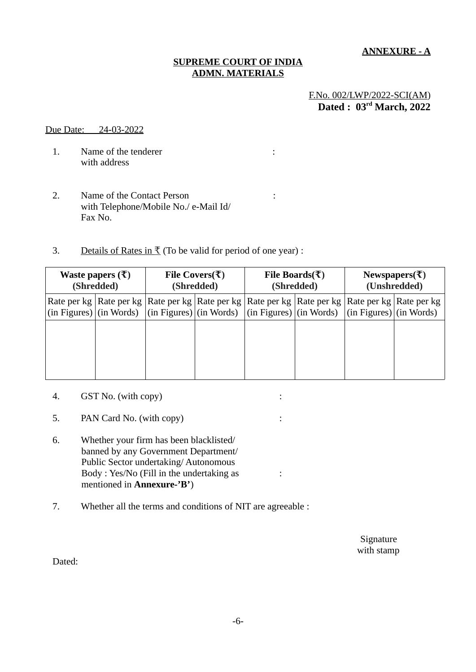**ANNEXURE - A**

### **SUPREME COURT OF INDIA ADMN. MATERIALS**

# F.No. 002/LWP/2022-SCI(AM) **Dated : 03 rd March, 2022**

#### Due Date: 24-03-2022

- 1. Name of the tenderer in the same state of the tenderer in the same state  $\mathbf{r}$ : with address
- 2. Name of the Contact Person : with Telephone/Mobile No./ e-Mail Id/ Fax No.
- 3. Details of Rates in  $\bar{x}$  (To be valid for period of one year) :

| Waste papers $(\bar{\mathbf{\mathsf{t}}})$<br>(Shredded) |                                                                                                                                                                                                                                                                            | File Covers( $\overline{\tau}$ )<br>(Shredded) |  | File Boards( $\overline{\tau}$ )<br>(Shredded) |  | Newspapers( $\bar{x}$ )<br>(Unshredded) |  |
|----------------------------------------------------------|----------------------------------------------------------------------------------------------------------------------------------------------------------------------------------------------------------------------------------------------------------------------------|------------------------------------------------|--|------------------------------------------------|--|-----------------------------------------|--|
|                                                          | Rate per kg   Rate per kg   Rate per kg   Rate per kg   Rate per kg   Rate per kg   Rate per kg   Rate per kg  <br>(in Figures) $\vert$ (in Words) $\vert$ (in Figures) $\vert$ (in Words) $\vert$ (in Figures) $\vert$ (in Words) $\vert$ (in Figures) $\vert$ (in Words) |                                                |  |                                                |  |                                         |  |
|                                                          |                                                                                                                                                                                                                                                                            |                                                |  |                                                |  |                                         |  |
|                                                          |                                                                                                                                                                                                                                                                            |                                                |  |                                                |  |                                         |  |
|                                                          |                                                                                                                                                                                                                                                                            |                                                |  |                                                |  |                                         |  |

- 4. GST No. (with copy) :
- 5. PAN Card No. (with copy) :
- 6. Whether your firm has been blacklisted/ banned by any Government Department/ Public Sector undertaking/ Autonomous Body : Yes/No (Fill in the undertaking as : mentioned in **Annexure-'B'**)
- 7. Whether all the terms and conditions of NIT are agreeable :

 Signature with stamp

Dated: